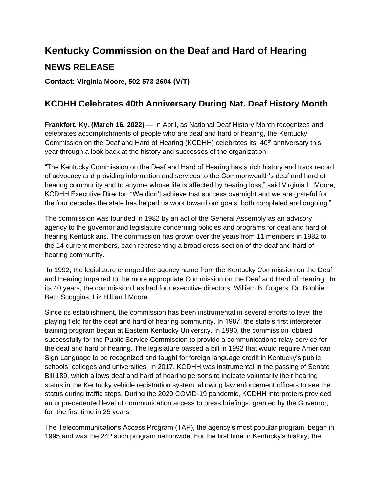## **Kentucky Commission on the Deaf and Hard of Hearing NEWS RELEASE**

**Contact: Virginia Moore, 502-573-2604 (V/T)**

## **KCDHH Celebrates 40th Anniversary During Nat. Deaf History Month**

**Frankfort, Ky. (March 16, 2022)** — In April, as National Deaf History Month recognizes and celebrates accomplishments of people who are deaf and hard of hearing, the Kentucky Commission on the Deaf and Hard of Hearing (KCDHH) celebrates its  $40<sup>th</sup>$  anniversary this year through a look back at the history and successes of the organization.

"The Kentucky Commission on the Deaf and Hard of Hearing has a rich history and track record of advocacy and providing information and services to the Commonwealth's deaf and hard of hearing community and to anyone whose life is affected by hearing loss," said Virginia L. Moore, KCDHH Executive Director. "We didn't achieve that success overnight and we are grateful for the four decades the state has helped us work toward our goals, both completed and ongoing."

The commission was founded in 1982 by an act of the General Assembly as an advisory agency to the governor and legislature concerning policies and programs for deaf and hard of hearing Kentuckians. The commission has grown over the years from 11 members in 1982 to the 14 current members, each representing a broad cross-section of the deaf and hard of hearing community.

In 1992, the legislature changed the agency name from the Kentucky Commission on the Deaf and Hearing Impaired to the more appropriate Commission on the Deaf and Hard of Hearing. In its 40 years, the commission has had four executive directors: William B. Rogers, Dr. Bobbie Beth Scoggins, Liz Hill and Moore.

Since its establishment, the commission has been instrumental in several efforts to level the playing field for the deaf and hard of hearing community. In 1987, the state's first interpreter training program began at Eastern Kentucky University. In 1990, the commission lobbied successfully for the Public Service Commission to provide a communications relay service for the deaf and hard of hearing. The legislature passed a bill in 1992 that would require American Sign Language to be recognized and taught for foreign language credit in Kentucky's public schools, colleges and universities. In 2017, KCDHH was instrumental in the passing of Senate Bill 189, which allows deaf and hard of hearing persons to indicate voluntarily their hearing status in the Kentucky vehicle registration system, allowing law enforcement officers to see the status during traffic stops. During the 2020 COVID-19 pandemic, KCDHH interpreters provided an unprecedented level of communication access to press briefings, granted by the Governor, for the first time in 25 years.

The Telecommunications Access Program (TAP), the agency's most popular program, began in 1995 and was the 24<sup>th</sup> such program nationwide. For the first time in Kentucky's history, the